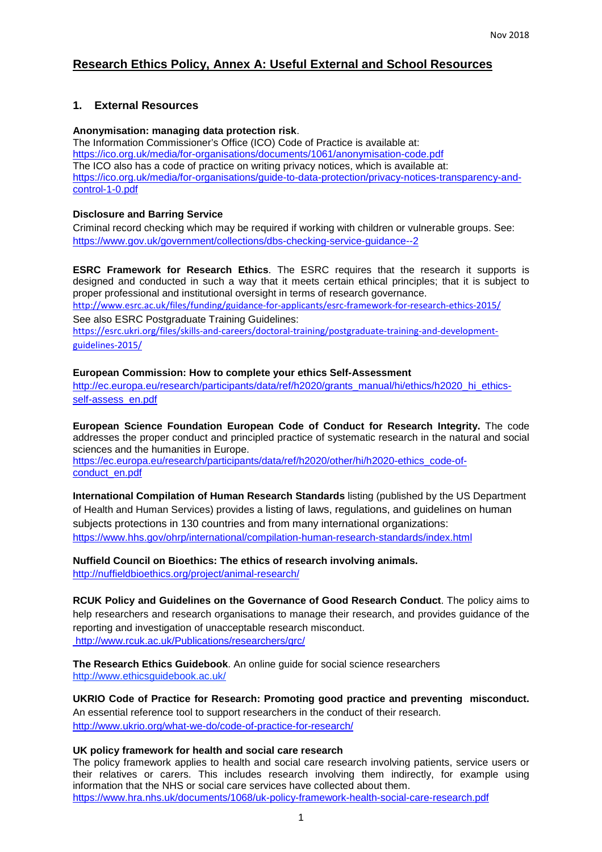# **Research Ethics Policy, Annex A: Useful External and School Resources**

## **1. External Resources**

#### **Anonymisation: managing data protection risk**.

The Information Commissioner's Office (ICO) Code of Practice is available at: https://ico.org.uk/media/for-organisations/documents/1061/anonymisation-code.pdf The ICO also has a code of practice on writing privacy notices, which is available at: https://ico.org.uk/media/for-organisations/guide-to-data-protection/privacy-notices-transparency-andcontrol-1-0.pdf

### **Disclosure and Barring Service**

Criminal record checking which may be required if working with children or vulnerable groups. See: https://www.gov.uk/government/collections/dbs-checking-service-guidance--2

**ESRC Framework for Research Ethics**. The ESRC requires that the research it supports is designed and conducted in such a way that it meets certain ethical principles; that it is subject to proper professional and institutional oversight in terms of research governance. http://www.esrc.ac.uk/files/funding/guidance-for-applicants/esrc-framework-for-research-ethics-2015/ See also ESRC Postgraduate Training Guidelines: https://esrc.ukri.org/files/skills-and-careers/doctoral-training/postgraduate-training-and-developmentguidelines-2015/

### **European Commission: How to complete your ethics Self-Assessment**

http://ec.europa.eu/research/participants/data/ref/h2020/grants\_manual/hi/ethics/h2020\_hi\_ethicsself-assess\_en.pdf

**European Science Foundation European Code of Conduct for Research Integrity.** The code addresses the proper conduct and principled practice of systematic research in the natural and social sciences and the humanities in Europe. https://ec.europa.eu/research/participants/data/ref/h2020/other/hi/h2020-ethics\_code-ofconduct\_en.pdf

**International Compilation of Human Research Standards** listing (published by the US Department of Health and Human Services) provides a listing of laws, regulations, and guidelines on human subjects protections in 130 countries and from many international organizations: https://www.hhs.gov/ohrp/international/compilation-human-research-standards/index.html

**Nuffield Council on Bioethics: The ethics of research involving animals.**  http://nuffieldbioethics.org/project/animal-research/

**RCUK Policy and Guidelines on the Governance of Good Research Conduct**. The policy aims to help researchers and research organisations to manage their research, and provides guidance of the reporting and investigation of unacceptable research misconduct. http://www.rcuk.ac.uk/Publications/researchers/grc/

**The Research Ethics Guidebook**. An online guide for social science researchers http://www.ethicsguidebook.ac.uk/

**UKRIO Code of Practice for Research: Promoting good practice and preventing misconduct.**  An essential reference tool to support researchers in the conduct of their research. http://www.ukrio.org/what-we-do/code-of-practice-for-research/

#### **UK policy framework for health and social care research**

The policy framework applies to health and social care research involving patients, service users or their relatives or carers. This includes research involving them indirectly, for example using information that the NHS or social care services have collected about them. https://www.hra.nhs.uk/documents/1068/uk-policy-framework-health-social-care-research.pdf